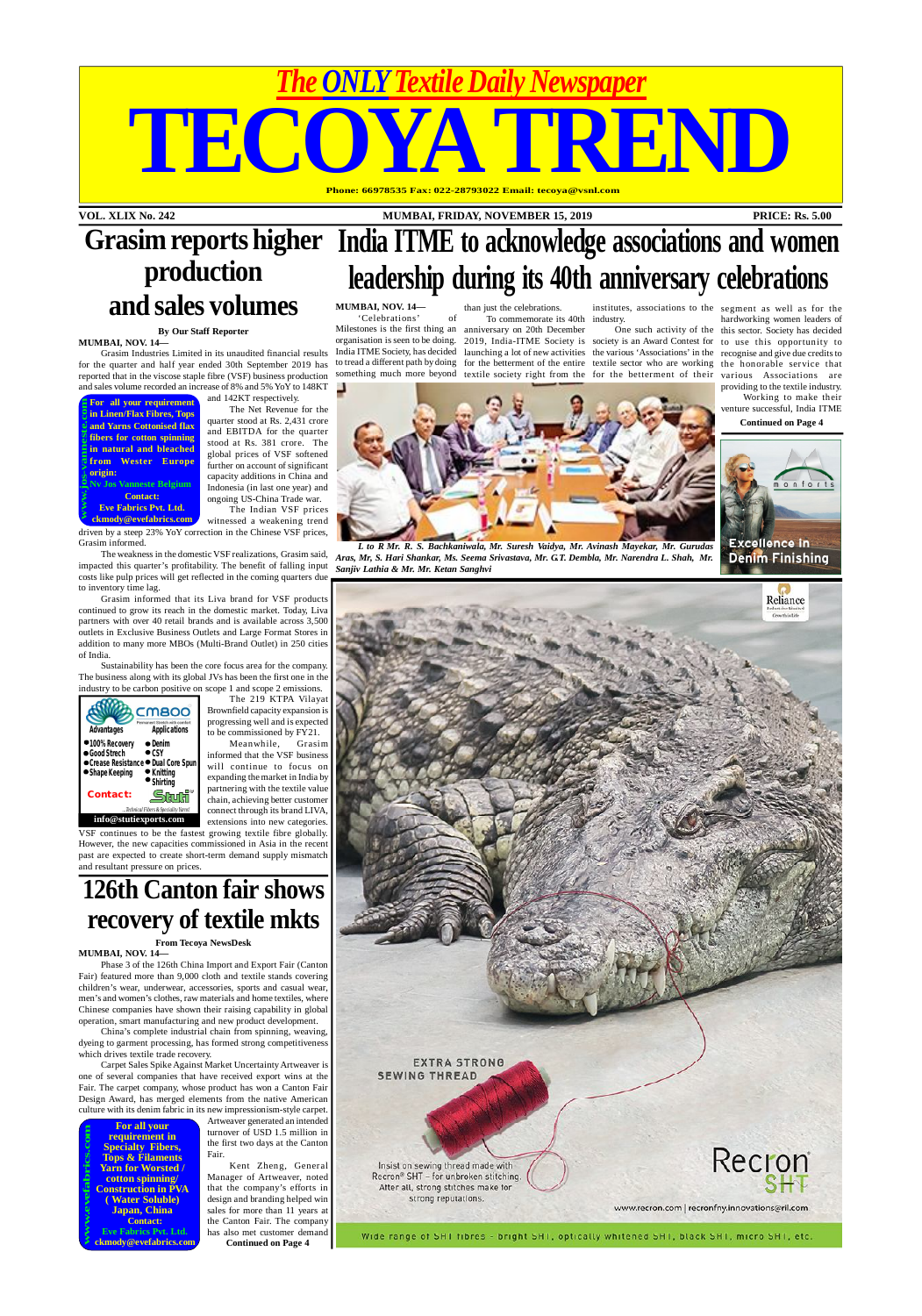#### **VOL. XLIX No. 242 MUMBAI, FRIDAY, NOVEMBER 15, 2019 PRICE: Rs. 5.00**

*The ONLY Textile Daily Newspaper*

**TECOYA TREND**

#### **Phone: 66978535 Fax: 022-28793022 Email: tecoya@vsnl.com**









*L to R Mr. R. S. Bachkaniwala, Mr. Suresh Vaidya, Mr. Avinash Mayekar, Mr. Gurudas Aras, Mr, S. Hari Shankar, Ms. Seema Srivastava, Mr. G.T. Dembla, Mr. Narendra L. Shah, Mr.*





'Celebrations' of Milestones is the first thing an anniversary on 20th December India ITME Society, has decided to tread a different path by doing something much more beyond

organisation is seen to be doing. 2019, India-ITME Society is society is an Award Contest for to use this opportunity to launching a lot of new activities the various 'Associations' in the recognise and give due credits to for the betterment of the entire textile sector who are working the honorable service that textile society right from the for the betterment of their

To commemorate its 40th industry.

#### **MUMBAI, NOV. 14** than just the celebrations. institutes, associations to the segment as well as for the **India ITME to acknowledge associations and women leadership during its 40th anniversary celebrations Grasim reports higher production and sales volumes**

One such activity of the this sector. Society has decided hardworking women leaders of various Associations are providing to the textile industry.

Working to make their

venture successful, India ITME



**Continued on Page 4**

continues to be the fastest growing textile fibre globally. However, the new capacities commissioned in Asia in the recent past are expected to create short-term demand supply mismatch and resultant pressure on prices.

#### **By Our Staff Reporter MUMBAI, NOV. 14—**

Grasim Industries Limited in its unaudited financial results for the quarter and half year ended 30th September 2019 has reported that in the viscose staple fibre (VSF) business production and sales volume recorded an increase of 8% and 5% YoY to 148KT

and 142KT respectively.

The Net Revenue for the quarter stood at Rs. 2,431 crore and EBITDA for the quarter stood at Rs. 381 crore. The global prices of VSF softened further on account of significant capacity additions in China and Indonesia (in last one year) and ongoing US-China Trade war. The Indian VSF prices

witnessed a weakening trend driven by a steep 23% YoY correction in the Chinese VSF prices, Grasim informed.

The weakness in the domestic VSF realizations, Grasim said, impacted this quarter's profitability. The benefit of falling input costs like pulp prices will get reflected in the coming quarters due to inventory time lag.

Grasim informed that its Liva brand for VSF products continued to grow its reach in the domestic market. Today, Liva partners with over 40 retail brands and is available across 3,500 outlets in Exclusive Business Outlets and Large Format Stores in addition to many more MBOs (Multi-Brand Outlet) in 250 cities of India.

Sustainability has been the core focus area for the company. The business along with its global JVs has been the first one in the industry to be carbon positive on scope 1 and scope 2 emissions.

The 219 KTPA Vilayat Brownfield capacity expansion is progressing well and is expected to be commissioned by FY21.

Meanwhile, Grasim informed that the VSF business will continue to focus on expanding the market in India by partnering with the textile value chain, achieving better customer connect through its brand LIVA, extensions into new categories.

## **126th Canton fair shows recovery of textile mkts**

#### **From Tecoya NewsDesk**

#### **MUMBAI, NOV. 14—**

Phase 3 of the 126th China Import and Export Fair (Canton Fair) featured more than 9,000 cloth and textile stands covering children's wear, underwear, accessories, sports and casual wear, men's and women's clothes, raw materials and home textiles, where Chinese companies have shown their raising capability in global operation, smart manufacturing and new product development.

China's complete industrial chain from spinning, weaving, dyeing to garment processing, has formed strong competitiveness which drives textile trade recovery.

Carpet Sales Spike Against Market Uncertainty Artweaver is one of several companies that have received export wins at the Fair. The carpet company, whose product has won a Canton Fair Design Award, has merged elements from the native American culture with its denim fabric in its new impressionism-style carpet.

> Artweaver generated an intended turnover of USD 1.5 million in the first two days at the Canton Fair.

Kent Zheng, General Manager of Artweaver, noted that the company's efforts in design and branding helped win sales for more than 11 years at the Canton Fair. The company has also met customer demand **Continued on Page 4**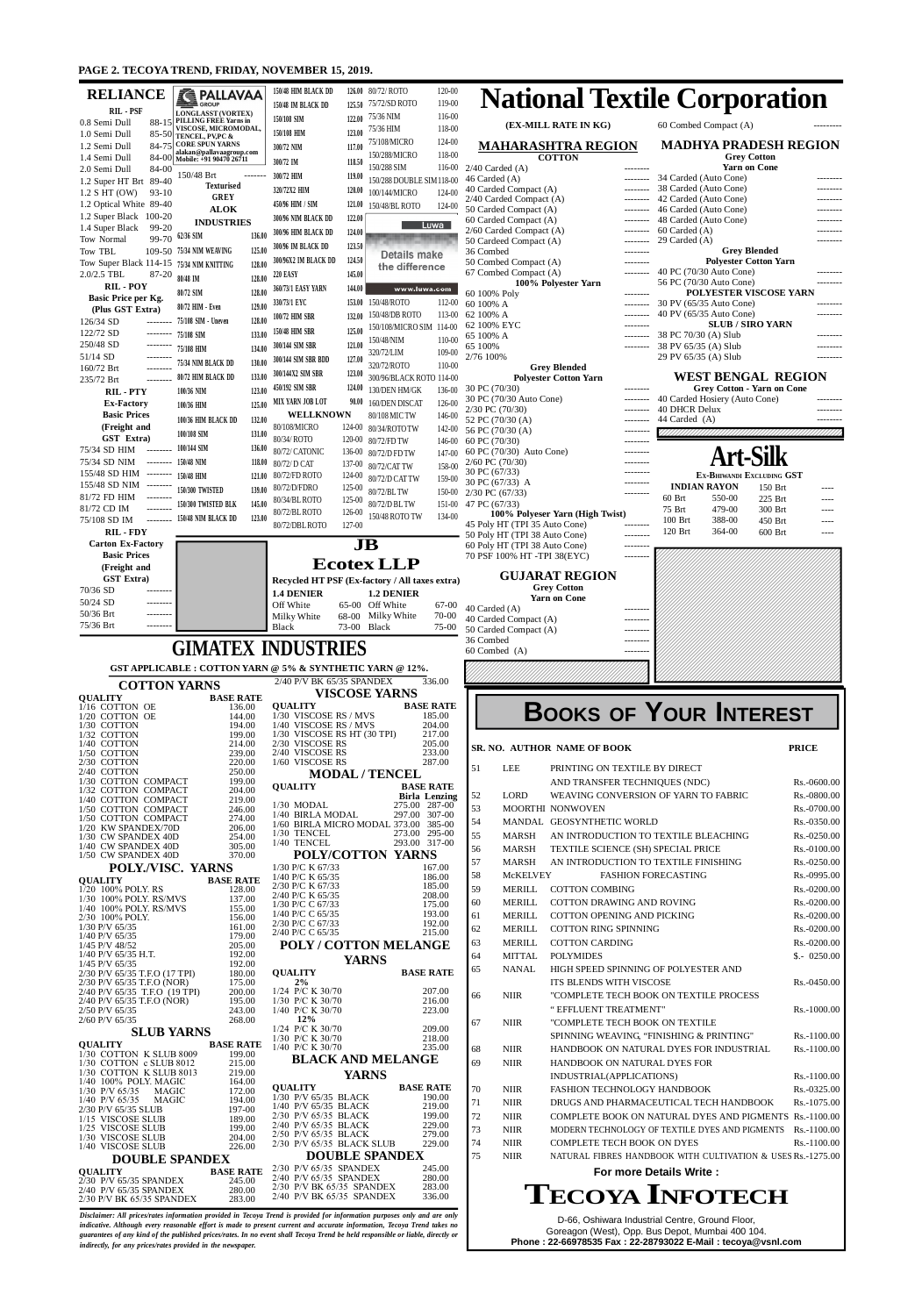D-66, Oshiwara Industrial Centre, Ground Floor, Goreagon (West), Opp. Bus Depot, Mumbai 400 104. **Phone : 22-66978535 Fax : 22-28793022 E-Mail : tecoya@vsnl.com**

*Disclaimer: All prices/rates information provided in Tecoya Trend is provided for information purposes only and are only indicative. Although every reasonable effort is made to present current and accurate information, Tecoya Trend takes no guarantees of any kind of the published prices/rates. In no event shall Tecoya Trend be held responsible or liable, directly or indirectly, for any prices/rates provided in the newspaper.*

### **PAGE 2. TECOYA TREND, FRIDAY, NOVEMBER 15, 2019.**

| <b>RELIANCE</b>                                                               | <b>TE PALLAVAA</b><br><b>COLLECTED</b> GROUP              | 150/48 HIM BLACK DD                                      |                  | 126.00 80/72/ROTO<br>75/72/SD ROTO         | 120-00<br>119-00 |                                                                |                                            | <b>National Textile Corporation</b>                                                                      |                              |
|-------------------------------------------------------------------------------|-----------------------------------------------------------|----------------------------------------------------------|------------------|--------------------------------------------|------------------|----------------------------------------------------------------|--------------------------------------------|----------------------------------------------------------------------------------------------------------|------------------------------|
| RIL - PSF<br>0.8 Semi Dull                                                    | <b>LONGLASST (VORTEX)</b><br>88-15 PILLING FREE Yarns in  | 150/48 IM BLACK DD<br>150/108 SIM                        | 125.50<br>122.00 | 75/36 NIM                                  | 116-00           |                                                                |                                            |                                                                                                          |                              |
| 1.0 Semi Dull                                                                 | VISCOSE, MICROMODAL,<br>85-50 TENCEL, PV, PC &            | 150/108 HIM                                              | 123.00           | 75/36 HIM                                  | 118-00           |                                                                | (EX-MILL RATE IN KG)                       | 60 Combed Compact (A)                                                                                    |                              |
| 1.2 Semi Dull                                                                 | 84-75 CORE SPUN YARNS<br>alakan@pallavaagroup.com         | 300/72 NIM                                               | 117.00           | 75/108/MICRO<br>150/288/MICRO              | 124-00<br>118-00 |                                                                | <b>MAHARASHTRA REGION</b><br><b>COTTON</b> | <b>MADHYA PRADESH REGION</b><br><b>Grey Cotton</b>                                                       |                              |
| 1.4 Semi Dull<br>2.0 Semi Dull<br>84-00                                       | 84-00 Mobile: +91 90470 26711                             | 300/72 IM                                                | 118.50           | 150/288 SIM                                | $116 - 00$       | $2/40$ Carded (A)                                              | --------                                   | <b>Yarn on Cone</b>                                                                                      |                              |
| 1.2 Super HT Brt 89-40                                                        | 150/48 Brt<br><b>Texturised</b>                           | 300/72 HIM<br>320/72X2 HIM                               | 119.00<br>120.00 | 150/288 DOUBLE SIM 118-00                  |                  | 46 Carded (A)<br>40 Carded Compact (A)                         | --------<br>$-----$                        | 34 Carded (Auto Cone)<br>38 Carded (Auto Cone)                                                           | --------                     |
| $1.2$ S HT (OW)<br>$93-10$<br>1.2 Optical White 89-40                         | <b>GREY</b>                                               | 450/96 HIM / SIM                                         | 121.00           | 100/144/MICRO<br>150/48/BL ROTO            | 124-00<br>124-00 | 2/40 Carded Compact (A)                                        | --------                                   | 42 Carded (Auto Cone)                                                                                    |                              |
| 1.2 Super Black 100-20                                                        | <b>ALOK</b><br><b>INDUSTRIES</b>                          | 300/96 NIM BLACK DD                                      | 122.00           |                                            |                  | 50 Carded Compact (A)<br>60 Carded Compact (A)                 | --------<br>--------                       | 46 Carded (Auto Cone)<br>48 Carded (Auto Cone)                                                           | --------<br>--------         |
| 1.4 Super Black<br>99-20<br>Tow Normal                                        | 136.00<br>99-70 62/36 SIM                                 | 300/96 HIM BLACK DD                                      | 124.00           |                                            | Luwa             | 2/60 Carded Compact (A)                                        | --------                                   | 60 Carded (A)<br>29 Carded $(A)$                                                                         |                              |
| Tow TBL                                                                       | 109-50 75/34 NIM WEAVING<br>125.00                        | 300/96 IM BLACK DD                                       | 123.50           | <b>Details make</b>                        |                  | 50 Cardeed Compact (A)<br>36 Combed                            | --------<br>--------                       | <b>Grey Blended</b>                                                                                      |                              |
| Tow Super Black 114-15 75/34 NIM KNITTING                                     | 128.00                                                    | 300/96X2 IM BLACK DD                                     | 124.50           | the difference                             |                  | 50 Combed Compact (A)<br>67 Combed Compact (A)                 | $- - - - - - - -$<br>--------              | <b>Polyester Cotton Yarn</b><br>40 PC (70/30 Auto Cone)                                                  |                              |
| 2.0/2.5 TBL<br>87-20<br><b>RIL-POY</b>                                        | 80/48 IM<br>128.00                                        | <b>220 EASY</b><br>360/73/1 EASY YARN                    | 145.00<br>144.00 | www.luwa.com                               |                  |                                                                | 100% Polyester Yarn                        | 56 PC (70/30 Auto Cone)                                                                                  | --------                     |
| Basic Price per Kg.                                                           | 128.00<br>80/72 SIM<br>129.00<br>80/72 HIM - Even         | 330/73/1 EYC                                             | 153.00           | 150/48/ROTO                                | 112-00           | 60 100% Poly<br>60 100% A                                      | --------<br>---------                      | POLYESTER VISCOSE YARN<br>30 PV (65/35 Auto Cone)                                                        |                              |
| (Plus GST Extra)<br>126/34 SD<br>--------                                     | 75/108 SIM - Uneven<br>128.00                             | 100/72 HIM SBR                                           | 132.00           | 150/48/DB ROTO                             | 113-00           | 62 100% A                                                      | --------                                   | 40 PV (65/35 Auto Cone)                                                                                  | --------                     |
| 122/72 SD<br>--------                                                         | 133.00<br>75/108 SIM                                      | 150/48 HIM SBR                                           | 125.00           | 150/108/MICRO SIM 114-00<br>150/48/NIM     | $110 - 00$       | 62 100% EYC<br>65 100% A                                       | --------<br>--------                       | <b>SLUB / SIRO YARN</b><br>38 PC 70/30 (A) Slub                                                          | --------                     |
| 250/48 SD<br>--------<br>51/14 SD                                             | 75/108 HIM<br>134.00                                      | 300/144 SIM SBR                                          | 121.00           | 320/72/LIM                                 | $109 - 00$       | 65 100%<br>2/76 100%                                           | --------                                   | 38 PV 65/35 (A) Slub                                                                                     | --------                     |
| --------<br>160/72 Brt                                                        | 130.00<br>75/34 NIM BLACK DD                              | 300/144 SIM SBR BDD                                      | 127.00           | 320/72/ROTO                                | $110 - 00$       |                                                                | <b>Grey Blended</b>                        | 29 PV 65/35 (A) Slub                                                                                     | --------                     |
| 235/72 Brt<br>--------                                                        | 133.00<br>80/72 HIM BLACK DD                              | 300/144X2 SIM SBR<br>450/192 SIM SBR                     | 123.00<br>124.00 | 300/96/BLACK ROTO 114-00                   |                  | 30 PC (70/30)                                                  | <b>Polyester Cotton Yarn</b><br>--------   | <b>WEST BENGAL REGION</b><br><b>Grey Cotton - Yarn on Cone</b>                                           |                              |
| <b>RIL-PTY</b><br><b>Ex-Factory</b>                                           | 100/36 NIM<br>123.00<br>125.00<br>100/36 HIM              | MIX YARN JOB LOT                                         | 90.00            | 130/DEN HM/GK<br>160/DEN DISCAT            | 136-00<br>126-00 | 30 PC (70/30 Auto Cone)                                        | ---------                                  | 40 Carded Hosiery (Auto Cone)                                                                            |                              |
| <b>Basic Prices</b>                                                           | 132.00<br>100/36 HIM BLACK DD                             | <b>WELLKNOWN</b>                                         |                  | 80/108 MIC TW                              | 146-00           | $2/30$ PC $(70/30)$<br>52 PC (70/30 (A)                        | --------<br>---------                      | <b>40 DHCR Delux</b><br>44 Carded (A)                                                                    | --------                     |
| (Freight and<br>GST Extra)                                                    | 100/108 SIM<br>131.00                                     | 80/108/MICRO                                             |                  | 124-00 80/34/ROTO TW                       | 142-00           | 56 PC (70/30 (A)                                               |                                            |                                                                                                          |                              |
| 75/34 SD HIM<br>$- - - - - - -$                                               | 100/144 SIM<br>136.00                                     | 80/34/ ROTO<br>80/72/ CATONIC                            |                  | 120-00 80/72/FD TW<br>136-00 80/72/D FD TW | 146-00<br>147-00 | 60 PC (70/30)<br>60 PC (70/30) Auto Cone)                      | $- - - - - - - -$<br>--------              |                                                                                                          |                              |
| 75/34 SD NIM                                                                  | $----- 150/48$ NIM<br>118.00                              | 80/72/ D CAT                                             | 137-00           | 80/72/CAT TW                               | 158-00           | $2/60$ PC $(70/30)$                                            | --------                                   |                                                                                                          |                              |
| 155/48 SD HIM --------<br>155/48 SD NIM --------                              | 150/48 HIM<br>121.00                                      | 80/72/FD ROTO                                            | 124-00           | 80/72/D CAT TW                             | 159-00           | 30 PC (67/33)<br>30 PC (67/33) A                               | ---------                                  | EX-BHIWANDI EXCLUDING GST                                                                                |                              |
| 81/72 FD HIM<br>$- - - - - - - -$                                             | 150/300 TWISTED<br>139.00                                 | 80/72/D/FDRO<br>80/34/BL ROTO                            | 125-00           | 125-00 $80/72/BL\,{\rm TW}$                | 150-00           | $2/30$ PC (67/33)                                              | --------                                   | <b>INDIAN RAYON</b><br>150 Brt<br>60 Brt<br>550-00<br>225 Brt                                            | ----                         |
| 81/72 CD IM                                                                   | 150/300 TWISTED BLK<br>145.00                             | 80/72/BL ROTO                                            | 126-00           | 80/72/D BL TW<br>150/48 ROTO TW            | 134-00           | 151-00 47 PC $(67/33)$                                         | 100% Polyeser Yarn (High Twist)            | 75 Brt<br>479-00<br>300 Brt                                                                              | ----                         |
| 75/108 SD IM<br>--------<br><b>RIL-FDY</b>                                    | 150/48 NIM BLACK DD<br>123.00                             | 80/72/DBL ROTO                                           | 127-00           |                                            |                  | 45 Poly HT (TPI 35 Auto Cone)                                  | --------                                   | 100 Brt<br>388-00<br>450 Brt<br>120 Brt<br>364-00<br>600 Brt                                             | ----<br>----                 |
| <b>Carton Ex-Factory</b>                                                      |                                                           |                                                          | $\bf{JB}$        |                                            |                  | 50 Poly HT (TPI 38 Auto Cone)<br>60 Poly HT (TPI 38 Auto Cone) | --------                                   |                                                                                                          |                              |
| <b>Basic Prices</b>                                                           |                                                           |                                                          |                  | <b>Ecotex LLP</b>                          |                  | 70 PSF 100% HT -TPI 38(EYC)                                    | --------                                   |                                                                                                          |                              |
| (Freight and<br><b>GST Extra)</b>                                             |                                                           | Recycled HT PSF (Ex-factory / All taxes extra)           |                  |                                            |                  |                                                                | <b>GUJARAT REGION</b>                      |                                                                                                          |                              |
| 70/36 SD<br>--------                                                          |                                                           | <b>1.4 DENIER</b>                                        |                  | <b>1.2 DENIER</b>                          |                  |                                                                | <b>Grey Cotton</b>                         |                                                                                                          |                              |
| 50/24 SD<br>--------<br>50/36 Brt                                             |                                                           | Off White                                                | 65-00 Off White  |                                            | 67-00            | 40 Carded (A)                                                  | <b>Yarn on Cone</b><br>--------            |                                                                                                          |                              |
| $- - - - - - -$<br>75/36 Brt                                                  |                                                           | Milky White<br><b>Black</b>                              | 73-00 Black      | 68-00 Milky White                          | 70-00<br>75-00   | 40 Carded Compact (A)                                          | --------                                   |                                                                                                          |                              |
|                                                                               |                                                           |                                                          |                  |                                            |                  | 50 Carded Compact (A)<br>36 Combed                             | --------<br>--------                       |                                                                                                          |                              |
|                                                                               | <b>GIMATEX INDUSTRIES</b>                                 |                                                          |                  |                                            |                  | 60 Combed (A)                                                  |                                            |                                                                                                          |                              |
|                                                                               |                                                           |                                                          |                  |                                            |                  |                                                                |                                            |                                                                                                          |                              |
|                                                                               | GST APPLICABLE : COTTON YARN @ 5% & SYNTHETIC YARN @ 12%. |                                                          |                  |                                            |                  |                                                                |                                            |                                                                                                          |                              |
| <b>COTTON YARNS</b>                                                           |                                                           | 2/40 P/V BK 65/35 SPANDEX                                |                  | <b>VISCOSE YARNS</b>                       | 336.00           |                                                                |                                            |                                                                                                          |                              |
| <b>QUALITY</b><br>1/16 COTTON OE                                              | <b>BASE RATE</b><br>136.00                                | <b>QUALITY</b>                                           |                  | <b>BASE RATE</b>                           |                  |                                                                |                                            |                                                                                                          |                              |
| 1/20 COTTON OE<br>1/30 COTTON                                                 | 144.00<br>194.00                                          | 1/30 VISCOSE RS / MVS<br>1/40 VISCOSE RS / MVS           |                  |                                            | 185.00<br>204.00 |                                                                |                                            | <b>BOOKS OF YOUR INTEREST</b>                                                                            |                              |
| 1/32 COTTON<br>1/40 COTTON                                                    | 199.00<br>214.00                                          | 1/30 VISCOSE RS HT (30 TPI)<br>2/30 VISCOSE RS           |                  |                                            | 217.00<br>205.00 |                                                                |                                            |                                                                                                          |                              |
| 1/50 COTTON<br>2/30 COTTON                                                    | 239.00<br>220.00                                          | 2/40 VISCOSE RS<br>1/60 VISCOSE RS                       |                  |                                            | 233.00<br>287.00 |                                                                | SR. NO. AUTHOR NAME OF BOOK                |                                                                                                          | <b>PRICE</b>                 |
| $2/40$ COTTON                                                                 | 250.00                                                    |                                                          |                  | <b>MODAL/TENCEL</b>                        |                  | LEE<br>51                                                      | PRINTING ON TEXTILE BY DIRECT              |                                                                                                          |                              |
| 1/30 COTTON COMPACT<br>1/32 COTTON COMPACT                                    | 199.00<br>204.00                                          | <b>QUALITY</b>                                           |                  | <b>BASE RATE</b>                           |                  | 52<br>LORD                                                     | AND TRANSFER TECHNIQUES (NDC)              | WEAVING CONVERSION OF YARN TO FABRIC                                                                     | Rs.-0600.00<br>Rs.-0800.00   |
| 1/40 COTTON COMPACT<br>1/50 COTTON COMPACT                                    | 219.00<br>246.00                                          | $1/30$ MODAL                                             |                  | <b>Birla Lenzing</b><br>275.00 287-00      |                  | 53                                                             | MOORTHI NONWOVEN                           |                                                                                                          | Rs.-0700.00                  |
| 1/50 COTTON COMPACT<br>1/20 KW SPANDEX/70D                                    | 274.00                                                    | 1/40 BIRLA MODAL<br>1/60 BIRLA MICRO MODAL 373.00 385-00 |                  | 297.00 307-00                              |                  | 54                                                             | MANDAL GEOSYNTHETIC WORLD                  |                                                                                                          | Rs.-0350.00                  |
| 1/30 CW SPANDEX 40D                                                           | 206.00<br>254.00                                          | 1/30 TENCEL<br>1/40 TENCEL                               |                  | 273.00 295-00<br>293.00 317-00             |                  | 55<br><b>MARSH</b>                                             |                                            | AN INTRODUCTION TO TEXTILE BLEACHING                                                                     | Rs.-0250.00                  |
| 1/40 CW SPANDEX 40D<br>1/50 CW SPANDEX 40D                                    | 305.00<br>370.00                                          |                                                          |                  | POLY/COTTON YARNS                          |                  | 56<br><b>MARSH</b>                                             | TEXTILE SCIENCE (SH) SPECIAL PRICE         |                                                                                                          | Rs.-0100.00                  |
| POLY./VISC. YARNS                                                             |                                                           | 1/30 P/C K 67/33                                         |                  |                                            | 167.00           | 57<br><b>MARSH</b><br>58<br>McKELVEY                           |                                            | AN INTRODUCTION TO TEXTILE FINISHING<br><b>FASHION FORECASTING</b>                                       | Rs.-0250.00<br>Rs.-0995.00   |
| <b>QUALITY</b><br>1/20 100% POLY. RS                                          | <b>BASE RATE</b><br>128.00                                | $1/40$ P/C K 65/35<br>2/30 P/C K 67/33                   |                  |                                            | 186.00<br>185.00 | 59<br><b>MERILL</b>                                            | <b>COTTON COMBING</b>                      |                                                                                                          | Rs.-0200.00                  |
| 1/30 100% POLY. RS/MVS                                                        | 137.00                                                    | 2/40 P/C K 65/35<br>1/30 P/C C 67/33                     |                  |                                            | 208.00<br>175.00 | <b>MERILL</b><br>60                                            | COTTON DRAWING AND ROVING                  |                                                                                                          | Rs.-0200.00                  |
| 1/40 100% POLY. RS/MVS<br>2/30 100% POLY.                                     | 155.00<br>156.00                                          | 1/40 P/C C 65/35<br>2/30 P/C C 67/33                     |                  |                                            | 193.00<br>192.00 | 61                                                             | MERILL COTTON OPENING AND PICKING          |                                                                                                          | Rs.-0200.00                  |
| $1/30$ P/V 65/35<br>1/40 P/V 65/35                                            | 161.00<br>179.00                                          | 2/40 P/C C 65/35                                         |                  |                                            | 215.00           | <b>MERILL</b><br>62                                            | <b>COTTON RING SPINNING</b>                |                                                                                                          | Rs.-0200.00                  |
| 1/45 P/V 48/52<br>$1/40$ P/V 65/35 H.T.                                       | 205.00<br>192.00                                          | <b>POLY / COTTON MELANGE</b>                             |                  |                                            |                  | <b>MERILL</b><br>63<br><b>MITTAL</b><br>64                     | <b>COTTON CARDING</b><br><b>POLYMIDES</b>  |                                                                                                          | Rs.-0200.00<br>$$.- 0250.00$ |
| $1/45$ P/V 65/35                                                              | 192.00                                                    |                                                          | <b>YARNS</b>     |                                            |                  | <b>NANAL</b><br>65                                             |                                            | HIGH SPEED SPINNING OF POLYESTER AND                                                                     |                              |
| 2/30 P/V 65/35 T.F.O (17 TPI)<br>2/30 P/V 65/35 T.F.O (NOR)                   | 180.00<br>175.00                                          | <b>QUALITY</b><br>2%                                     |                  | <b>BASE RATE</b>                           |                  |                                                                | ITS BLENDS WITH VISCOSE                    |                                                                                                          | Rs.-0450.00                  |
| 2/40 P/V 65/35 T.F.O (19 TPI)<br>2/40 P/V 65/35 T.F.O (NOR)                   | 200.00<br>195.00                                          | 1/24 P/C K 30/70<br>1/30 P/C K 30/70                     |                  |                                            | 207.00<br>216.00 | <b>NIIR</b><br>66                                              |                                            | "COMPLETE TECH BOOK ON TEXTILE PROCESS                                                                   |                              |
| 2/50 P/V 65/35<br>2/60 P/V 65/35                                              | 243.00<br>268.00                                          | 1/40 P/C K 30/70<br>12%                                  |                  |                                            | 223.00           |                                                                | "EFFLUENT TREATMENT"                       |                                                                                                          | Rs.-1000.00                  |
| <b>SLUB YARNS</b>                                                             |                                                           | 1/24 P/C K 30/70                                         |                  |                                            | 209.00           | 67<br><b>NIIR</b>                                              | "COMPLETE TECH BOOK ON TEXTILE             | SPINNING WEAVING, "FINISHING & PRINTING"                                                                 | $Rs.-1100.00$                |
| <b>QUALITY</b>                                                                | <b>BASE RATE</b>                                          | 1/30 P/C K 30/70<br>1/40 P/C K 30/70                     |                  |                                            | 218.00<br>235.00 | 68<br><b>NIIR</b>                                              |                                            | HANDBOOK ON NATURAL DYES FOR INDUSTRIAL                                                                  | Rs.-1100.00                  |
| 1/30 COTTON K SLUB 8009<br>1/30 COTTON c SLUB 8012                            | 199.00<br>215.00                                          |                                                          |                  | <b>BLACK AND MELANGE</b>                   |                  | 69<br><b>NIIR</b>                                              | HANDBOOK ON NATURAL DYES FOR               |                                                                                                          |                              |
| 1/30 COTTON K SLUB 8013<br>1/40 100% POLY. MAGIC                              | 219.00<br>164.00                                          |                                                          | <b>YARNS</b>     |                                            |                  |                                                                | INDUSTRIAL(APPLICATIONS)                   |                                                                                                          | Rs.-1100.00                  |
| $1/30$ P/V 65/35<br>MAGIC<br>MAGIC                                            | 172.00                                                    | <b>QUALITY</b><br>1/30 P/V 65/35 BLACK                   |                  | <b>BASE RATE</b>                           | 190.00           | 70<br><b>NIIR</b>                                              | FASHION TECHNOLOGY HANDBOOK                |                                                                                                          | Rs.-0325.00                  |
| 1/40 P/V 65/35<br>2/30 P/V 65/35 SLUB                                         | 194.00<br>197-00                                          | 1/40 P/V 65/35 BLACK<br>2/30 P/V 65/35 BLACK             |                  |                                            | 219.00<br>199.00 | 71<br><b>NIIR</b>                                              |                                            | DRUGS AND PHARMACEUTICAL TECH HANDBOOK                                                                   | Rs.-1075.00                  |
| 1/15 VISCOSE SLUB<br>1/25 VISCOSE SLUB                                        | 189.00<br>199.00                                          | 2/40 P/V 65/35 BLACK                                     |                  |                                            | 229.00           | 72<br><b>NIIR</b><br>73<br><b>NIIR</b>                         |                                            | COMPLETE BOOK ON NATURAL DYES AND PIGMENTS Rs.-1100.00<br>MODERN TECHNOLOGY OF TEXTILE DYES AND PIGMENTS | Rs.-1100.00                  |
| 1/30 VISCOSE SLUB                                                             | 204.00                                                    | 2/50 P/V 65/35 BLACK<br>2/30 P/V 65/35 BLACK SLUB        |                  |                                            | 279.00<br>229.00 | 74<br><b>NIIR</b>                                              | <b>COMPLETE TECH BOOK ON DYES</b>          |                                                                                                          | $Rs.-1100.00$                |
| 1/40 VISCOSE SLUB<br><b>DOUBLE SPANDEX</b>                                    | 226.00                                                    |                                                          |                  | <b>DOUBLE SPANDEX</b>                      |                  | 75<br><b>NIIR</b>                                              |                                            | NATURAL FIBRES HANDBOOK WITH CULTIVATION & USES Rs.-1275.00                                              |                              |
| <b>QUALITY</b>                                                                | <b>BASE RATE</b>                                          | 2/30 P/V 65/35 SPANDEX<br>2/40 P/V 65/35 SPANDEX         |                  |                                            | 245.00<br>280.00 |                                                                |                                            | <b>For more Details Write:</b>                                                                           |                              |
| 2/30 P/V 65/35 SPANDEX<br>2/40 P/V 65/35 SPANDEX<br>2/30 P/V BK 65/35 SPANDEX | 245.00<br>280.00<br>283.00                                | 2/30 P/V BK 65/35 SPANDEX<br>2/40 P/V BK 65/35 SPANDEX   |                  |                                            | 283.00<br>336.00 |                                                                |                                            | <b>TECOYA INFOTECH</b>                                                                                   |                              |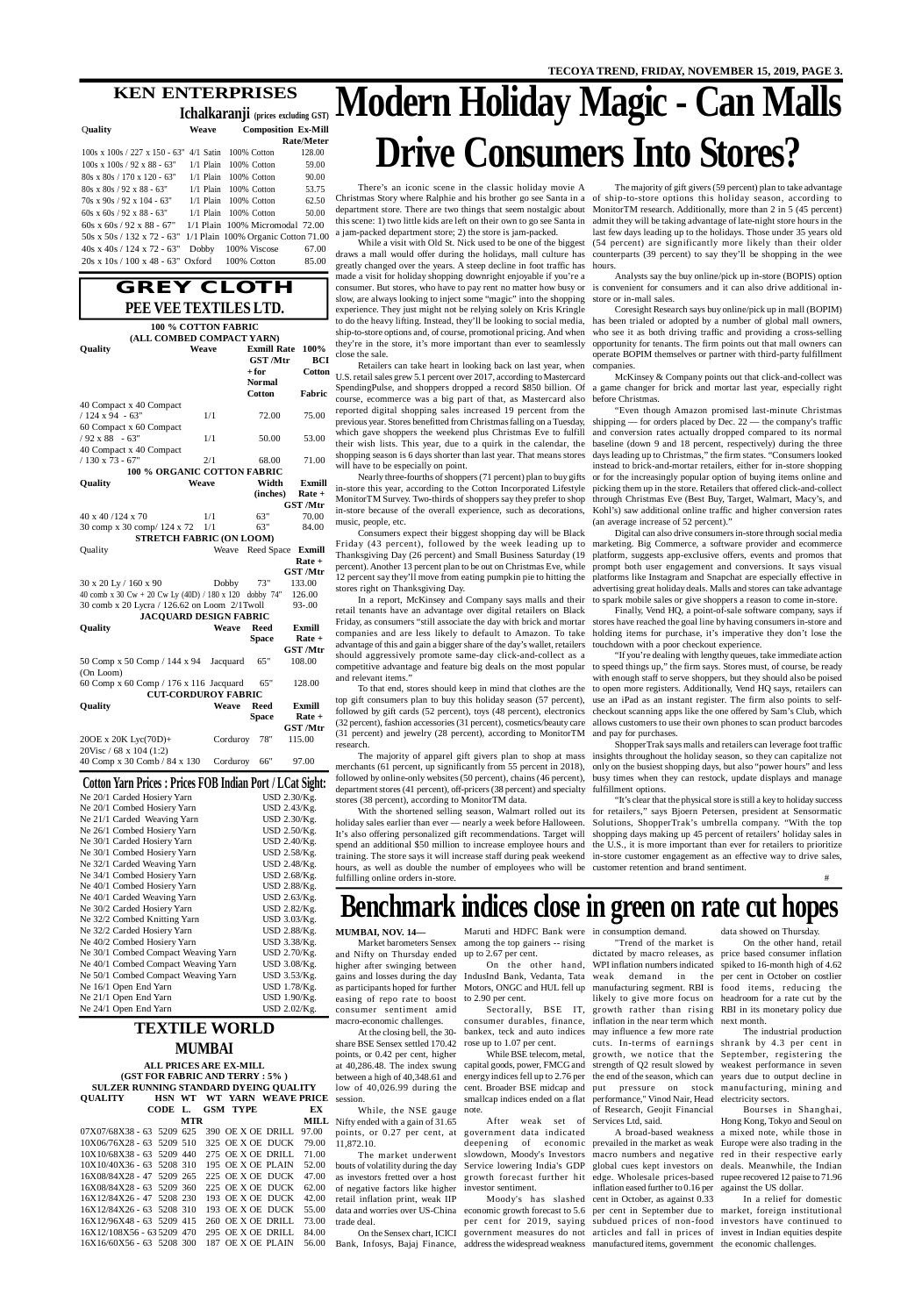## **GREY CLOTH PEE VEE TEXTILES LTD.**

## **KEN ENTERPRISES**

**Ichalkaranji (prices excluding GST)** Q**uality Weave Composition Ex-Mill**

| <b>UUAIIIV</b>                                                   | vveave | COMPOSITION EX-MIII                    |                   |
|------------------------------------------------------------------|--------|----------------------------------------|-------------------|
|                                                                  |        |                                        | <b>Rate/Meter</b> |
| $100s \times 100s / 227 \times 150 - 63''$ 4/1 Satin 100% Cotton |        |                                        | 128.00            |
| $100s \times 100s / 92 \times 88 - 63$ "                         |        | $1/1$ Plain $100\%$ Cotton             | 59.00             |
| $80s \times 80s / 170 \times 120 - 63$ "                         |        | $1/1$ Plain $100\%$ Cotton             | 90.00             |
| $80s \times 80s / 92 \times 88 - 63$ "                           |        | $1/1$ Plain $100\%$ Cotton             | 53.75             |
| $70s \times 90s / 92 \times 104 - 63$ "                          |        | $1/1$ Plain $100\%$ Cotton             | 62.50             |
| 60s x 60s / 92 x 88 - 63"                                        |        | $1/1$ Plain $100\%$ Cotton             | 50.00             |
| $60s \times 60s / 92 \times 88 - 67$ "                           |        | $1/1$ Plain $100\%$ Micromodal $72.00$ |                   |
| 50s x 50s / 132 x 72 - 63" 1/1 Plain 100% Organic Cotton 71.00   |        |                                        |                   |
| $40s \times 40s / 124 \times 72 - 63$ "                          | Dobby  | 100% Viscose                           | 67.00             |
| $20s \times 10s / 100 \times 48 - 63$ " Oxford 100% Cotton       |        |                                        | 85.00             |
|                                                                  |        |                                        |                   |

| <b>Cotton Yarn Prices : Prices FOB Indian Port / LCat Sight:</b> |              |
|------------------------------------------------------------------|--------------|
| Ne 20/1 Carded Hosiery Yarn                                      | USD 2.30/Kg. |
| Ne 20/1 Combed Hosiery Yarn                                      | USD 2.43/Kg. |
| Ne 21/1 Carded Weaving Yarn                                      | USD 2.30/Kg. |
| Ne 26/1 Combed Hosiery Yarn                                      | USD 2.50/Kg. |

| Ne 30/1 Carded Hosiery Yarn         | USD $2.40$ /Kg. |
|-------------------------------------|-----------------|
| Ne 30/1 Combed Hosiery Yarn         | USD 2.58/Kg.    |
| Ne 32/1 Carded Weaving Yarn         | USD 2.48/Kg.    |
| Ne 34/1 Combed Hosiery Yarn         | USD 2.68/Kg.    |
| Ne 40/1 Combed Hosiery Yarn         | USD 2.88/Kg.    |
| Ne 40/1 Carded Weaving Yarn         | USD 2.63/Kg.    |
| Ne 30/2 Carded Hosiery Yarn         | USD 2.82/Kg.    |
| Ne 32/2 Combed Knitting Yarn        | USD 3.03/Kg.    |
| Ne 32/2 Carded Hosiery Yarn         | USD 2.88/Kg.    |
| Ne 40/2 Combed Hosiery Yarn         | USD 3.38/Kg.    |
| Ne 30/1 Combed Compact Weaving Yarn | USD 2.70/Kg.    |
| Ne 40/1 Combed Compact Weaving Yarn | USD 3.08/Kg.    |
| Ne 50/1 Combed Compact Weaving Yarn | USD 3.53/Kg.    |
| Ne 16/1 Open End Yarn               | USD 1.78/Kg.    |
| Ne 21/1 Open End Yarn               | USD 1.90/Kg.    |
| Ne 24/1 Open End Yarn               | USD 2.02/Kg.    |

**QUALITY HSN WT WT YARN WEAVE PRICE** session.  **CODE L. GSM TYPE EX MTR MILL** Nifty ended with a gain of 31.65 07X07/68X38 - 63 5209 625 390 OE X OE DRILL 97.00 10X06/76X28 - 63 5209 510 325 OE X OE DUCK 79.00 10X10/68X38 - 63 5209 440 275 OE X OE DRILL 71.00 10X10/40X36 - 63 5208 310 195 OE X OE PLAIN 52.00 16X08/84X28 - 47 5209 265 225 OE X OE DUCK 47.00 16X08/84X28 - 63 5209 360 225 OE X OE DUCK 62.00 16X12/84X26 - 47 5208 230 193 OE X OE DUCK 42.00 16X12/84X26 - 63 5208 310 193 OE X OE DUCK 55.00 16X12/96X48 - 63 5209 415 260 OE X OE DRILL 73.00 16X12/108X56 - 63 5209 470 295 OE X OE DRILL 84.00 16X16/60X56 - 63 5208 300 187 OE X OE PLAIN 56.00 **ALL PRICES ARE EX-MILL (GST FOR FABRIC AND TERRY : 5% ) SULZER RUNNING STANDARD DYEING QUALITY**

|                                                        | 100 % COTTON FABRIC            |                    |                                                                               |
|--------------------------------------------------------|--------------------------------|--------------------|-------------------------------------------------------------------------------|
| (ALL COMBED COMPACT YARN)<br>Quality                   | Weave                          | <b>Exmill Rate</b> | 100%                                                                          |
|                                                        |                                | <b>GST</b> /Mtr    | <b>BCI</b>                                                                    |
|                                                        |                                | $+$ for            | <b>Cotton</b>                                                                 |
|                                                        |                                | <b>Normal</b>      |                                                                               |
|                                                        |                                | <b>Cotton</b>      | Fabric                                                                        |
| 40 Compact x 40 Compact                                |                                |                    |                                                                               |
| $/124$ x 94 - 63"                                      | 1/1                            | 72.00              | 75.00                                                                         |
| 60 Compact x 60 Compact                                |                                |                    |                                                                               |
| $/92 x 88 - 63"$                                       | 1/1                            | 50.00              | 53.00                                                                         |
| 40 Compact x 40 Compact                                |                                |                    |                                                                               |
| / 130 x 73 - 67"                                       | 2/1                            | 68.00              | 71.00                                                                         |
| 100 % ORGANIC COTTON FABRIC                            |                                |                    |                                                                               |
| Quality                                                | Weave                          | Width              | <b>Exmill</b>                                                                 |
|                                                        |                                | (inches)           | $Rate +$                                                                      |
|                                                        |                                |                    | <b>GST</b> /Mtr                                                               |
| 40 x 40 /124 x 70                                      | 1/1                            | 63"                | 70.00                                                                         |
| 30 comp x 30 comp/ 124 x 72                            | 1/1                            | 63"                | 84.00                                                                         |
| <b>STRETCH FABRIC (ON LOOM)</b>                        |                                |                    |                                                                               |
| Quality                                                | Weave                          | Reed Space Exmill  |                                                                               |
|                                                        |                                |                    | Rate +                                                                        |
|                                                        |                                |                    | <b>GST</b> /Mtr                                                               |
| 30 x 20 Ly / 160 x 90                                  | Dobby                          | 73"                | 133.00                                                                        |
| 40 comb x 30 Cw + 20 Cw Ly (40D) / 180 x 120 dobby 74" |                                |                    | 126.00                                                                        |
| 30 comb x 20 Lycra / 126.62 on Loom 2/1Twoll           |                                |                    | $93 - 00$                                                                     |
| <b>JACQUARD DESIGN FABRIC</b>                          |                                |                    |                                                                               |
| Quality                                                | Weave                          | <b>Reed</b>        | <b>Exmill</b>                                                                 |
|                                                        |                                | <b>Space</b>       | Rate +                                                                        |
|                                                        |                                |                    | <b>GST</b> /Mtr                                                               |
| 50 Comp x 50 Comp / 144 x 94                           | Jacquard                       | 65"                | 108.00                                                                        |
| (On Loom)                                              |                                |                    |                                                                               |
| 60 Comp x 60 Comp / 176 x 116 Jacquard                 |                                | 65"                | 128.00                                                                        |
|                                                        | <b>CUT-CORDUROY FABRIC</b>     |                    |                                                                               |
| Quality                                                | Weave                          | <b>Reed</b>        | Exmill                                                                        |
|                                                        |                                | <b>Space</b>       | $Rate +$                                                                      |
|                                                        |                                |                    | <b>GST</b> /Mtr                                                               |
| 20OE x 20K Lyc(70D)+                                   | Corduroy                       | 78"                | 115.00                                                                        |
| 20Visc / 68 x 104 (1:2)                                |                                |                    |                                                                               |
| 40 Comp x 30 Comb / 84 x 130                           | Corduroy                       | 66"                | 97.00                                                                         |
| $-1$                                                   | $\mathbf{A} \times \mathbf{B}$ |                    | $\mathbf{1}$ $\mathbf{r}$ $\mathbf{r}$ $\mathbf{r}$ $\mathbf{r}$ $\mathbf{r}$ |

## **TEXTILE WORLD MUMBAI**

merchants (61 percent, up significantly from 55 percent in 2018), only on the busiest shopping days, but also "power hours" and less followed by online-only websites (50 percent), chains (46 percent), busy times when they can restock, update displays and manage department stores (41 percent), off-pricers (38 percent) and specialty fulfillment options. stores (38 percent), according to MonitorTM data.

# **Modern Holiday Magic - Can Malls Drive Consumers Into Stores?**

#### There's an iconic scene in the classic holiday movie A Christmas Story where Ralphie and his brother go see Santa in a of ship-to-store options this holiday season, according to department store. There are two things that seem nostalgic about MonitorTM research. Additionally, more than 2 in 5 (45 percent) this scene: 1) two little kids are left on their own to go see Santa in admit they will be taking advantage of late-night store hours in the a jam-packed department store; 2) the store is jam-packed.

draws a mall would offer during the holidays, mall culture has counterparts (39 percent) to say they'll be shopping in the wee greatly changed over the years. A steep decline in foot traffic has hours. made a visit for holiday shopping downright enjoyable if you're a consumer. But stores, who have to pay rent no matter how busy or is convenient for consumers and it can also drive additional inslow, are always looking to inject some "magic" into the shopping store or in-mall sales. experience. They just might not be relying solely on Kris Kringle to do the heavy lifting. Instead, they'll be looking to social media, has been trialed or adopted by a number of global mall owners, ship-to-store options and, of course, promotional pricing. And when who see it as both driving traffic and providing a cross-selling they're in the store, it's more important than ever to seamlessly close the sale.

Retailers can take heart in looking back on last year, when U.S. retail sales grew 5.1 percent over 2017, according to Mastercard SpendingPulse, and shoppers dropped a record \$850 billion. Of a game changer for brick and mortar last year, especially right course, ecommerce was a big part of that, as Mastercard also reported digital shopping sales increased 19 percent from the previous year. Stores benefitted from Christmas falling on a Tuesday, shipping — for orders placed by Dec. 22 — the company's traffic which gave shoppers the weekend plus Christmas Eve to fulfill their wish lists. This year, due to a quirk in the calendar, the baseline (down 9 and 18 percent, respectively) during the three shopping season is 6 days shorter than last year. That means stores will have to be especially on point.

Nearly three-fourths of shoppers (71 percent) plan to buy gifts in-store this year, according to the Cotton Incorporated Lifestyle MonitorTM Survey. Two-thirds of shoppers say they prefer to shop in-store because of the overall experience, such as decorations, Kohl's) saw additional online traffic and higher conversion rates music, people, etc.

Consumers expect their biggest shopping day will be Black Friday (43 percent), followed by the week leading up to marketing. Big Commerce, a software provider and ecommerce Thanksgiving Day (26 percent) and Small Business Saturday (19 percent). Another 13 percent plan to be out on Christmas Eve, while prompt both user engagement and conversions. It says visual 12 percent say they'll move from eating pumpkin pie to hitting the stores right on Thanksgiving Day.

While a visit with Old St. Nick used to be one of the biggest (54 percent) are significantly more likely than their older The majority of gift givers (59 percent) plan to take advantage last few days leading up to the holidays. Those under 35 years old

In a report, McKinsey and Company says malls and their retail tenants have an advantage over digital retailers on Black Friday, as consumers "still associate the day with brick and mortar stores have reached the goal line by having consumers in-store and companies and are less likely to default to Amazon. To take holding items for purchase, it's imperative they don't lose the advantage of this and gain a bigger share of the day's wallet, retailers touchdown with a poor checkout experience. should aggressively promote same-day click-and-collect as a and relevant items."

top gift consumers plan to buy this holiday season (57 percent), use an iPad as an instant register. The firm also points to selffollowed by gift cards (52 percent), toys (48 percent), electronics checkout scanning apps like the one offered by Sam's Club, which (32 percent), fashion accessories (31 percent), cosmetics/beauty care allows customers to use their own phones to scan product barcodes (31 percent) and jewelry (28 percent), according to MonitorTM and pay for purchases. research.

hours, as well as double the number of employees who will be customer retention and brand sentiment. fulfilling online orders in-store.

Analysts say the buy online/pick up in-store (BOPIS) option

competitive advantage and feature big deals on the most popular to speed things up," the firm says. Stores must, of course, be ready To that end, stores should keep in mind that clothes are the to open more registers. Additionally, Vend HQ says, retailers can "If you're dealing with lengthy queues, take immediate action with enough staff to serve shoppers, but they should also be poised

Coresight Research says buy online/pick up in mall (BOPIM) opportunity for tenants. The firm points out that mall owners can operate BOPIM themselves or partner with third-party fulfillment companies.

McKinsey & Company points out that click-and-collect was before Christmas.

The majority of apparel gift givers plan to shop at mass insights throughout the holiday season, so they can capitalize not ShopperTrak says malls and retailers can leverage foot traffic

"Even though Amazon promised last-minute Christmas and conversion rates actually dropped compared to its normal days leading up to Christmas," the firm states. "Consumers looked instead to brick-and-mortar retailers, either for in-store shopping or for the increasingly popular option of buying items online and picking them up in the store. Retailers that offered click-and-collect through Christmas Eve (Best Buy, Target, Walmart, Macy's, and (an average increase of 52 percent)."

With the shortened selling season, Walmart rolled out its for retailers," says Bjoern Petersen, president at Sensormatic holiday sales earlier than ever — nearly a week before Halloween. Solutions, ShopperTrak's umbrella company. "With the top It's also offering personalized gift recommendations. Target will shopping days making up 45 percent of retailers' holiday sales in spend an additional \$50 million to increase employee hours and the U.S., it is more important than ever for retailers to prioritize training. The store says it will increase staff during peak weekend in-store customer engagement as an effective way to drive sales, "It's clear that the physical store is still a key to holiday success

Digital can also drive consumers in-store through social media platform, suggests app-exclusive offers, events and promos that platforms like Instagram and Snapchat are especially effective in advertising great holiday deals. Malls and stores can take advantage to spark mobile sales or give shoppers a reason to come in-store.

Finally, Vend HQ, a point-of-sale software company, says if

#

# **Benchmark indices close in green on rate cut hopes**

#### **MUMBAI, NOV. 14—**

and Nifty on Thursday ended higher after swinging between easing of repo rate to boost consumer sentiment amid macro-economic challenges.

At the closing bell, the 30 share BSE Sensex settled 170.42 points, or 0.42 per cent, higher

11,872.10.

The market underwent as investors fretted over a host of negative factors like higher retail inflation print, weak IIP trade deal.

Market barometers Sensex among the top gainers -- rising Maruti and HDFC Bank were in consumption demand.

While, the NSE gauge note.

up to 2.67 per cent. to 2.90 per cent.

points, or 0.27 per cent, at government data indicated After weak set of investor sentiment.

bankex, teck and auto indices may influence a few more rate rose up to 1.07 per cent.

gains and losses during the day IndusInd Bank, Vedanta, Tata weak demand in the per cent in October on costlier as participants hoped for further Motors, ONGC and HUL fell up manufacturing segment. RBI is food items, reducing the On the other hand, WPI inflation numbers indicated spiked to 16-month high of 4.62 Sectorally, BSE IT, growth rather than rising RBI in its monetary policy due consumer durables, finance, inflation in the near term which dictated by macro releases, as price based consumer inflation likely to give more focus on headroom for a rate cut by the

at 40,286.48. The index swung capital goods, power, FMCG and strength of Q2 result slowed by weakest performance in seven between a high of 40,348.61 and energy indices fell up to 2.76 per the end of the season, which can years due to output decline in low of 40,026.99 during the cent. Broader BSE midcap and put pressure on stock While BSE telecom, metal, growth, we notice that the September, registering the smallcap indices ended on a flat performance," Vinod Nair, Head cuts. In-terms of earnings shrank by 4.3 per cent in

"Trend of the market is

bouts of volatility during the day Service lowering India's GDP global cues kept investors on deepening of economic prevailed in the market as weak Europe were also trading in the slowdown, Moody's Investors macro numbers and negative red in their respective early growth forecast further hit edge. Wholesale prices-based inflation eased further to 0.16 per against the US dollar.

data and worries over US-China economic growth forecast to 5.6 per cent in September due to market, foreign institutional On the Sensex chart, ICICI government measures do not articles and fall in prices of invest in Indian equities despite Bank, Infosys, Bajaj Finance, address the widespread weakness manufactured items, government the economic challenges.Moody's has slashed cent in October, as against 0.33 per cent for 2019, saying subdued prices of non-food investors have continued to

of Research, Geojit Financial Services Ltd, said.

data showed on Thursday.

On the other hand, retail next month.

A broad-based weakness a mixed note, while those in Bourses in Shanghai, Hong Kong, Tokyo and Seoul on deals. Meanwhile, the Indian rupee recovered 12 paise to 71.96

The industrial production manufacturing, mining and electricity sectors.

In a relief for domestic